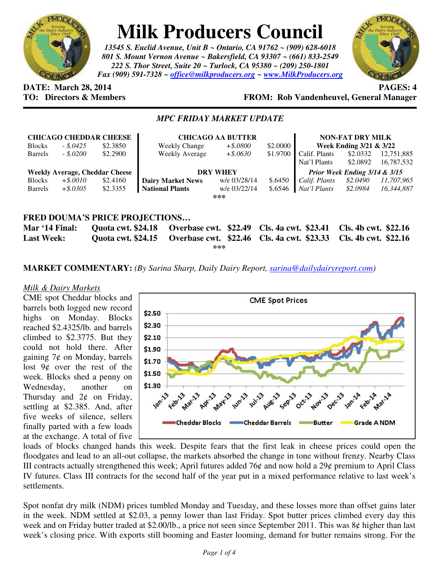

# **Milk Producers Council**

*13545 S. Euclid Avenue, Unit B ~ Ontario, CA 91762 ~ (909) 628-6018 801 S. Mount Vernon Avenue ~ Bakersfield, CA 93307 ~ (661) 833-2549 222 S. Thor Street, Suite 20 ~ Turlock, CA 95380 ~ (209) 250-1801 Fax (909) 591-7328 ~ office@milkproducers.org ~ www.MilkProducers.org*



## **DATE:** March 28, 2014 **PAGES:** 4

**TO: Directors & Members FROM: Rob Vandenheuvel, General Manager** 

### *MPC FRIDAY MARKET UPDATE*

| <b>CHICAGO CHEDDAR CHEESE</b>         |             |                           | <b>CHICAGO AA BUTTER</b>                          |              |          | <b>NON-FAT DRY MILK</b>       |                      |            |  |
|---------------------------------------|-------------|---------------------------|---------------------------------------------------|--------------|----------|-------------------------------|----------------------|------------|--|
| <b>Blocks</b>                         | $-.5.0425$  | \$2.3850                  | <b>Weekly Change</b>                              | $+$ \$.0800  | \$2,0000 | Week Ending 3/21 & 3/22       |                      |            |  |
| <b>Barrels</b>                        | $-.5.0200$  | \$2.2900                  | <b>Weekly Average</b>                             | $+$ \$.0630  | \$1.9700 | Calif. Plants                 | \$2.0332             | 12,751,885 |  |
|                                       |             |                           |                                                   |              |          | Nat'l Plants                  | \$2.0892             | 16,787,532 |  |
| <b>Weekly Average, Cheddar Cheese</b> |             |                           | <b>DRY WHEY</b>                                   |              |          | Prior Week Ending 3/14 & 3/15 |                      |            |  |
| <b>Blocks</b>                         | $+$ \$.0010 | \$2.4160                  | <b>Dairy Market News</b>                          | w/e 03/28/14 | \$.6450  | Calif. Plants                 | \$2.0490             | 11,707,965 |  |
| <b>Barrels</b>                        | $+$ \$.0305 | \$2.3355                  | <b>National Plants</b>                            | w/e 03/22/14 | \$.6546  | Nat'l Plants                  | \$2.0984             | 16.344.887 |  |
|                                       |             |                           |                                                   | ***          |          |                               |                      |            |  |
|                                       |             |                           |                                                   |              |          |                               |                      |            |  |
| <b>FRED DOUMA'S PRICE PROJECTIONS</b> |             |                           |                                                   |              |          |                               |                      |            |  |
| Mar '14 Final:                        |             | <b>Quota cwt. \$24.18</b> | <b>Overbase cwt.</b> \$22.49 Cls. 4a cwt. \$23.41 |              |          |                               | Cls. 4b cwt. \$22.16 |            |  |

**Last Week: Quota cwt. \$24.15 Overbase cwt. \$22.46 Cls. 4a cwt. \$23.33 Cls. 4b cwt. \$22.16 \*\*\*** 

**MARKET COMMENTARY:** *(By Sarina Sharp, Daily Dairy Report, sarina@dailydairyreport.com)* 

#### *Milk & Dairy Markets*

CME spot Cheddar blocks and barrels both logged new record highs on Monday. Blocks reached \$2.4325/lb. and barrels climbed to \$2.3775. But they could not hold there. After gaining  $7¢$  on Monday, barrels lost  $9¢$  over the rest of the week. Blocks shed a penny on Wednesday, another on Thursday and  $2¢$  on Friday, settling at \$2.385. And, after five weeks of silence, sellers finally parted with a few loads at the exchange. A total of five



loads of blocks changed hands this week. Despite fears that the first leak in cheese prices could open the floodgates and lead to an all-out collapse, the markets absorbed the change in tone without frenzy. Nearby Class III contracts actually strengthened this week; April futures added 76 $\phi$  and now hold a 29 $\phi$  premium to April Class IV futures. Class III contracts for the second half of the year put in a mixed performance relative to last week's settlements.

Spot nonfat dry milk (NDM) prices tumbled Monday and Tuesday, and these losses more than offset gains later in the week. NDM settled at \$2.03, a penny lower than last Friday. Spot butter prices climbed every day this week and on Friday butter traded at \$2.00/lb., a price not seen since September 2011. This was 8¢ higher than last week's closing price. With exports still booming and Easter looming, demand for butter remains strong. For the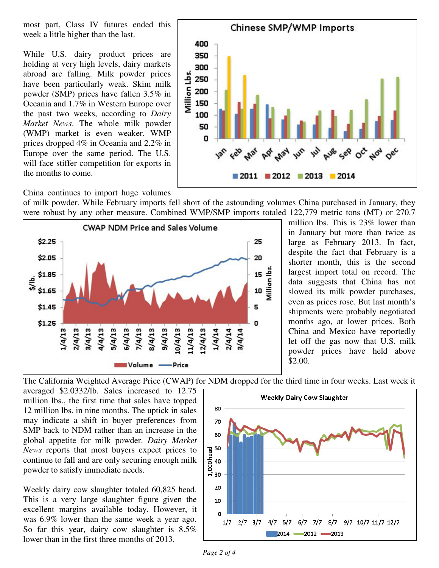most part, Class IV futures ended this week a little higher than the last.

While U.S. dairy product prices are holding at very high levels, dairy markets abroad are falling. Milk powder prices have been particularly weak. Skim milk powder (SMP) prices have fallen 3.5% in Oceania and 1.7% in Western Europe over the past two weeks, according to *Dairy Market News*. The whole milk powder (WMP) market is even weaker. WMP prices dropped 4% in Oceania and 2.2% in Europe over the same period. The U.S. will face stiffer competition for exports in the months to come.



China continues to import huge volumes

of milk powder. While February imports fell short of the astounding volumes China purchased in January, they were robust by any other measure. Combined WMP/SMP imports totaled 122,779 metric tons (MT) or 270.7



million lbs. This is 23% lower than in January but more than twice as large as February 2013. In fact, despite the fact that February is a shorter month, this is the second largest import total on record. The data suggests that China has not slowed its milk powder purchases, even as prices rose. But last month's shipments were probably negotiated months ago, at lower prices. Both China and Mexico have reportedly let off the gas now that U.S. milk powder prices have held above \$2.00.

The California Weighted Average Price (CWAP) for NDM dropped for the third time in four weeks. Last week it

averaged \$2.0332/lb. Sales increased to 12.75 million lbs., the first time that sales have topped 12 million lbs. in nine months. The uptick in sales may indicate a shift in buyer preferences from SMP back to NDM rather than an increase in the global appetite for milk powder. *Dairy Market News* reports that most buyers expect prices to continue to fall and are only securing enough milk powder to satisfy immediate needs.

Weekly dairy cow slaughter totaled 60,825 head. This is a very large slaughter figure given the excellent margins available today. However, it was 6.9% lower than the same week a year ago. So far this year, dairy cow slaughter is 8.5% lower than in the first three months of 2013.

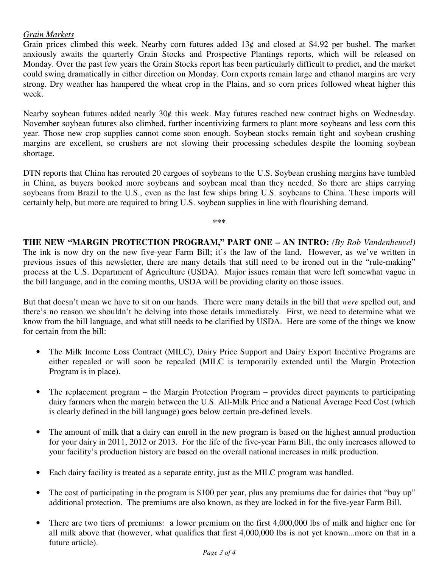#### *Grain Markets*

Grain prices climbed this week. Nearby corn futures added  $13¢$  and closed at \$4.92 per bushel. The market anxiously awaits the quarterly Grain Stocks and Prospective Plantings reports, which will be released on Monday. Over the past few years the Grain Stocks report has been particularly difficult to predict, and the market could swing dramatically in either direction on Monday. Corn exports remain large and ethanol margins are very strong. Dry weather has hampered the wheat crop in the Plains, and so corn prices followed wheat higher this week.

Nearby soybean futures added nearly 30¢ this week. May futures reached new contract highs on Wednesday. November soybean futures also climbed, further incentivizing farmers to plant more soybeans and less corn this year. Those new crop supplies cannot come soon enough. Soybean stocks remain tight and soybean crushing margins are excellent, so crushers are not slowing their processing schedules despite the looming soybean shortage.

DTN reports that China has rerouted 20 cargoes of soybeans to the U.S. Soybean crushing margins have tumbled in China, as buyers booked more soybeans and soybean meal than they needed. So there are ships carrying soybeans from Brazil to the U.S., even as the last few ships bring U.S. soybeans to China. These imports will certainly help, but more are required to bring U.S. soybean supplies in line with flourishing demand.

**\*\*\*** 

**THE NEW "MARGIN PROTECTION PROGRAM," PART ONE – AN INTRO:** *(By Rob Vandenheuvel)* The ink is now dry on the new five-year Farm Bill; it's the law of the land. However, as we've written in previous issues of this newsletter, there are many details that still need to be ironed out in the "rule-making" process at the U.S. Department of Agriculture (USDA). Major issues remain that were left somewhat vague in the bill language, and in the coming months, USDA will be providing clarity on those issues.

But that doesn't mean we have to sit on our hands. There were many details in the bill that *were* spelled out, and there's no reason we shouldn't be delving into those details immediately. First, we need to determine what we know from the bill language, and what still needs to be clarified by USDA. Here are some of the things we know for certain from the bill:

- The Milk Income Loss Contract (MILC), Dairy Price Support and Dairy Export Incentive Programs are either repealed or will soon be repealed (MILC is temporarily extended until the Margin Protection Program is in place).
- The replacement program the Margin Protection Program provides direct payments to participating dairy farmers when the margin between the U.S. All-Milk Price and a National Average Feed Cost (which is clearly defined in the bill language) goes below certain pre-defined levels.
- The amount of milk that a dairy can enroll in the new program is based on the highest annual production for your dairy in 2011, 2012 or 2013. For the life of the five-year Farm Bill, the only increases allowed to your facility's production history are based on the overall national increases in milk production.
- Each dairy facility is treated as a separate entity, just as the MILC program was handled.
- The cost of participating in the program is \$100 per year, plus any premiums due for dairies that "buy up" additional protection. The premiums are also known, as they are locked in for the five-year Farm Bill.
- There are two tiers of premiums: a lower premium on the first 4,000,000 lbs of milk and higher one for all milk above that (however, what qualifies that first 4,000,000 lbs is not yet known...more on that in a future article).